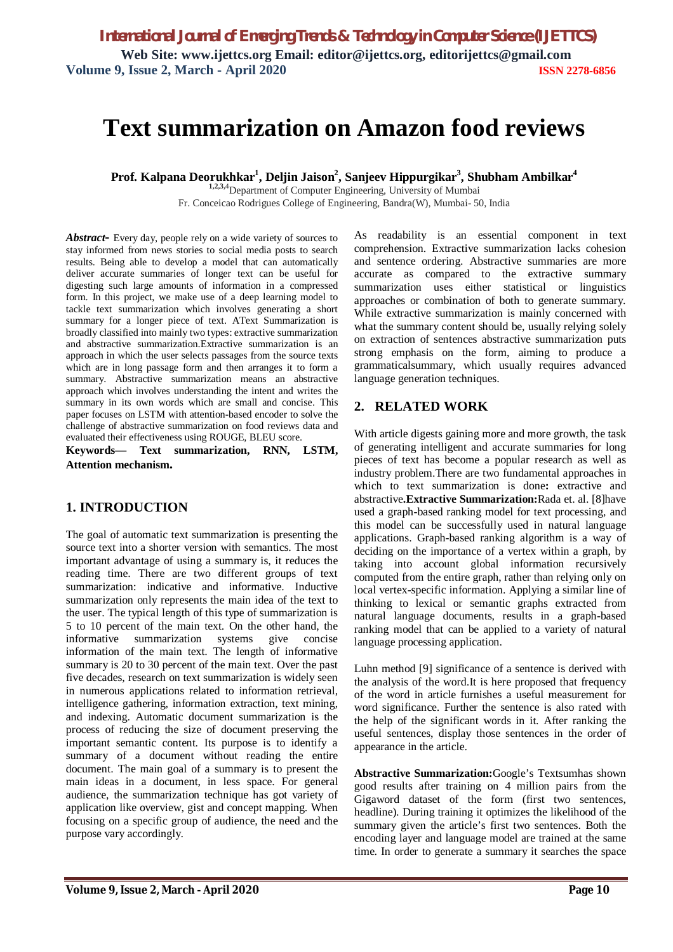# **Text summarization on Amazon food reviews**

**Prof. Kalpana Deorukhkar<sup>1</sup> , Deljin Jaison<sup>2</sup> , Sanjeev Hippurgikar<sup>3</sup> , Shubham Ambilkar<sup>4</sup>**

**1,2,3,**4Department of Computer Engineering, University of Mumbai Fr. Conceicao Rodrigues College of Engineering, Bandra(W), Mumbai- 50, India

Abstract - Every day, people rely on a wide variety of sources to stay informed from news stories to social media posts to search results. Being able to develop a model that can automatically deliver accurate summaries of longer text can be useful for digesting such large amounts of information in a compressed form. In this project, we make use of a deep learning model to tackle text summarization which involves generating a short summary for a longer piece of text. AText Summarization is broadly classified into mainly two types: extractive summarization and abstractive summarization.Extractive summarization is an approach in which the user selects passages from the source texts which are in long passage form and then arranges it to form a summary. Abstractive summarization means an abstractive approach which involves understanding the intent and writes the summary in its own words which are small and concise. This paper focuses on LSTM with attention-based encoder to solve the challenge of abstractive summarization on food reviews data and evaluated their effectiveness using ROUGE, BLEU score.

**Keywords— Text summarization, RNN, LSTM, Attention mechanism.**

# **1. INTRODUCTION**

The goal of automatic text summarization is presenting the source text into a shorter version with semantics. The most important advantage of using a summary is, it reduces the reading time. There are two different groups of text summarization: indicative and informative. Inductive summarization only represents the main idea of the text to the user. The typical length of this type of summarization is 5 to 10 percent of the main text. On the other hand, the informative summarization systems give concise information of the main text. The length of informative summary is 20 to 30 percent of the main text. Over the past five decades, research on text summarization is widely seen in numerous applications related to information retrieval, intelligence gathering, information extraction, text mining, and indexing. Automatic document summarization is the process of reducing the size of document preserving the important semantic content. Its purpose is to identify a summary of a document without reading the entire document. The main goal of a summary is to present the main ideas in a document, in less space. For general audience, the summarization technique has got variety of application like overview, gist and concept mapping. When focusing on a specific group of audience, the need and the purpose vary accordingly.

As readability is an essential component in text comprehension. Extractive summarization lacks cohesion and sentence ordering. Abstractive summaries are more accurate as compared to the extractive summary summarization uses either statistical or linguistics approaches or combination of both to generate summary. While extractive summarization is mainly concerned with what the summary content should be, usually relying solely on extraction of sentences abstractive summarization puts strong emphasis on the form, aiming to produce a grammaticalsummary, which usually requires advanced language generation techniques.

# **2. RELATED WORK**

With article digests gaining more and more growth, the task of generating intelligent and accurate summaries for long pieces of text has become a popular research as well as industry problem.There are two fundamental approaches in which to text summarization is done**:** extractive and abstractive**.Extractive Summarization:**Rada et. al. [8]have used a graph-based ranking model for text processing, and this model can be successfully used in natural language applications. Graph-based ranking algorithm is a way of deciding on the importance of a vertex within a graph, by taking into account global information recursively computed from the entire graph, rather than relying only on local vertex-specific information. Applying a similar line of thinking to lexical or semantic graphs extracted from natural language documents, results in a graph-based ranking model that can be applied to a variety of natural language processing application.

Luhn method [9] significance of a sentence is derived with the analysis of the word.It is here proposed that frequency of the word in article furnishes a useful measurement for word significance. Further the sentence is also rated with the help of the significant words in it. After ranking the useful sentences, display those sentences in the order of appearance in the article.

**Abstractive Summarization:**Google's Textsumhas shown good results after training on 4 million pairs from the Gigaword dataset of the form (first two sentences, headline). During training it optimizes the likelihood of the summary given the article's first two sentences. Both the encoding layer and language model are trained at the same time. In order to generate a summary it searches the space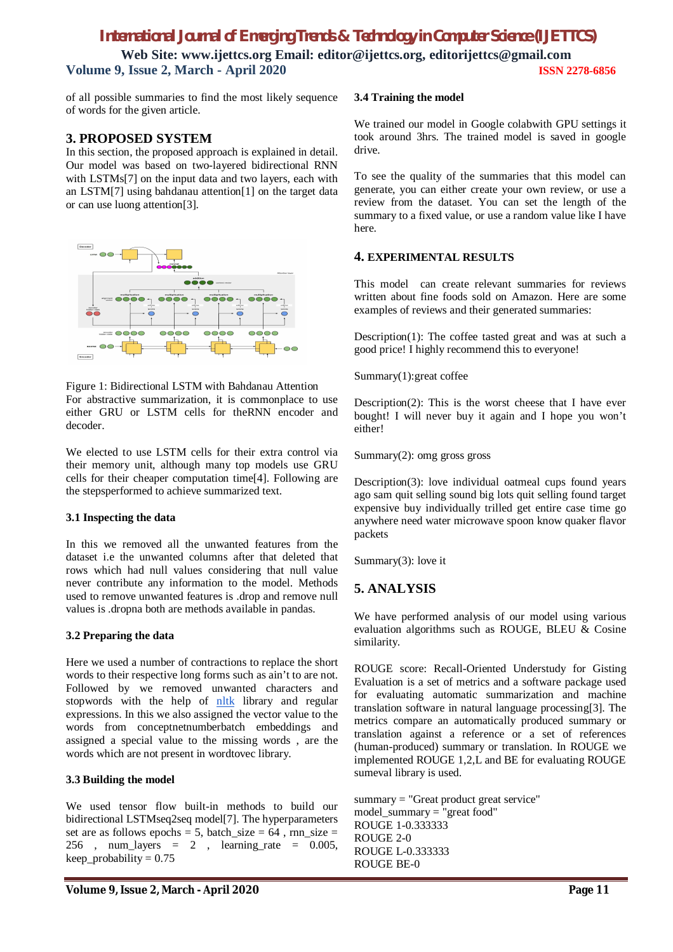# *International Journal of Emerging Trends & Technology in Computer Science (IJETTCS)* **Web Site: www.ijettcs.org Email: editor@ijettcs.org, [editorijettcs@gmail.com](mailto:editorijettcs@gmail.com)  Volume 9, Issue 2, March - April 2020 ISSN 2278-6856**

of all possible summaries to find the most likely sequence of words for the given article.

## **3. PROPOSED SYSTEM**

In this section, the proposed approach is explained in detail. Our model was based on two-layered bidirectional RNN with LSTMs[7] on the input data and two layers, each with an LSTM[7] using bahdanau attention[1] on the target data or can use luong attention[3].



Figure 1: Bidirectional LSTM with Bahdanau Attention For abstractive summarization, it is commonplace to use either GRU or LSTM cells for theRNN encoder and decoder.

We elected to use LSTM cells for their extra control via their memory unit, although many top models use GRU cells for their cheaper computation time[4]. Following are the stepsperformed to achieve summarized text.

## **3.1 Inspecting the data**

In this we removed all the unwanted features from the dataset i.e the unwanted columns after that deleted that rows which had null values considering that null value never contribute any information to the model. Methods used to remove unwanted features is .drop and remove null values is .dropna both are methods available in pandas.

#### **3.2 Preparing the data**

Here we used a number of contractions to replace the short words to their respective long forms such as ain't to are not. Followed by we removed unwanted characters and stopwords with the help of nltk library and regular expressions. In this we also assigned the vector value to the words from conceptnetnumberbatch embeddings and assigned a special value to the missing words , are the words which are not present in wordtovec library.

## **3.3 Building the model**

We used tensor flow built-in methods to build our bidirectional LSTMseq2seq model[7]. The hyperparameters set are as follows epochs = 5, batch\_size =  $64$ , rnn\_size = 256 , num\_layers = 2 , learning\_rate = 0.005,  $keep\_probability = 0.75$ 

#### **3.4 Training the model**

We trained our model in Google colabwith GPU settings it took around 3hrs. The trained model is saved in google drive.

To see the quality of the summaries that this model can generate, you can either create your own review, or use a review from the dataset. You can set the length of the summary to a fixed value, or use a random value like I have here.

## **4. EXPERIMENTAL RESULTS**

This model can create relevant summaries for reviews written about fine foods sold on Amazon. Here are some examples of reviews and their generated summaries:

Description(1): The coffee tasted great and was at such a good price! I highly recommend this to everyone!

Summary(1):great coffee

Description $(2)$ : This is the worst cheese that I have ever bought! I will never buy it again and I hope you won't either!

Summary(2): omg gross gross

Description(3): love individual oatmeal cups found years ago sam quit selling sound big lots quit selling found target expensive buy individually trilled get entire case time go anywhere need water microwave spoon know quaker flavor packets

Summary(3): love it

# **5. ANALYSIS**

We have performed analysis of our model using various evaluation algorithms such as ROUGE, BLEU & Cosine similarity.

ROUGE score: Recall-Oriented Understudy for Gisting Evaluation is a set of metrics and a software package used for evaluating automatic summarization and machine translation software in natural language processing[3]. The metrics compare an automatically produced summary or translation against a reference or a set of references (human-produced) summary or translation. In ROUGE we implemented ROUGE 1,2,L and BE for evaluating ROUGE sumeval library is used.

summary = "Great product great service" model\_summary = "great food" ROUGE 1-0.333333 ROUGE 2-0 ROUGE L-0.333333 ROUGE BE-0